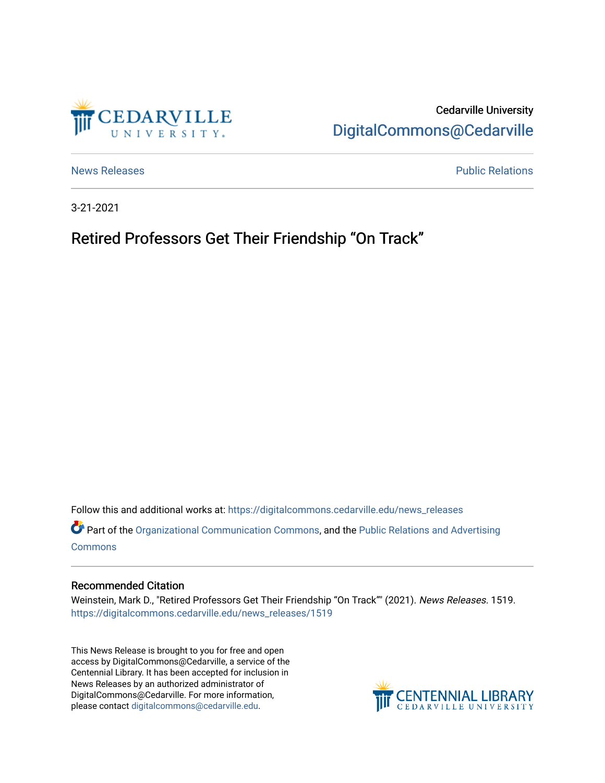

# Cedarville University [DigitalCommons@Cedarville](https://digitalcommons.cedarville.edu/)

[News Releases](https://digitalcommons.cedarville.edu/news_releases) **Public Relations** 

3-21-2021

## Retired Professors Get Their Friendship "On Track"

Follow this and additional works at: [https://digitalcommons.cedarville.edu/news\\_releases](https://digitalcommons.cedarville.edu/news_releases?utm_source=digitalcommons.cedarville.edu%2Fnews_releases%2F1519&utm_medium=PDF&utm_campaign=PDFCoverPages)  Part of the [Organizational Communication Commons](http://network.bepress.com/hgg/discipline/335?utm_source=digitalcommons.cedarville.edu%2Fnews_releases%2F1519&utm_medium=PDF&utm_campaign=PDFCoverPages), and the [Public Relations and Advertising](http://network.bepress.com/hgg/discipline/336?utm_source=digitalcommons.cedarville.edu%2Fnews_releases%2F1519&utm_medium=PDF&utm_campaign=PDFCoverPages) 

[Commons](http://network.bepress.com/hgg/discipline/336?utm_source=digitalcommons.cedarville.edu%2Fnews_releases%2F1519&utm_medium=PDF&utm_campaign=PDFCoverPages)

### Recommended Citation

Weinstein, Mark D., "Retired Professors Get Their Friendship "On Track"" (2021). News Releases. 1519. [https://digitalcommons.cedarville.edu/news\\_releases/1519](https://digitalcommons.cedarville.edu/news_releases/1519?utm_source=digitalcommons.cedarville.edu%2Fnews_releases%2F1519&utm_medium=PDF&utm_campaign=PDFCoverPages) 

This News Release is brought to you for free and open access by DigitalCommons@Cedarville, a service of the Centennial Library. It has been accepted for inclusion in News Releases by an authorized administrator of DigitalCommons@Cedarville. For more information, please contact [digitalcommons@cedarville.edu](mailto:digitalcommons@cedarville.edu).

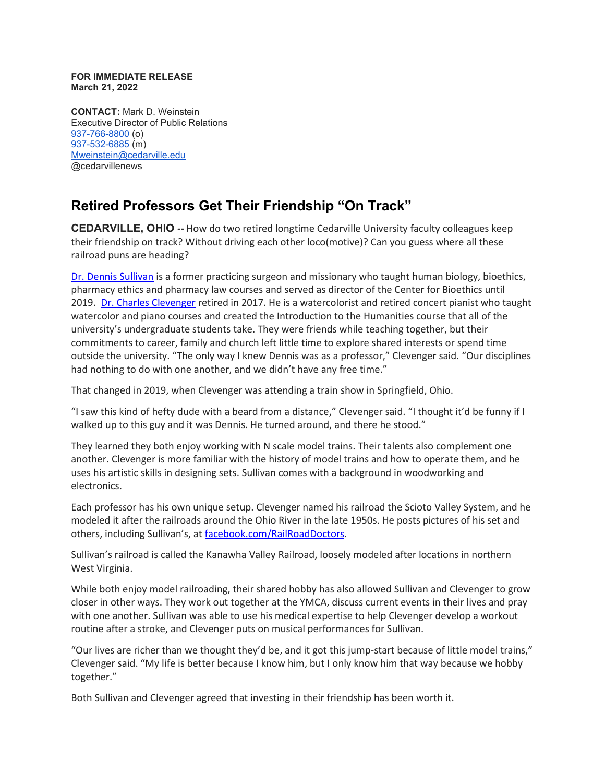#### **FOR IMMEDIATE RELEASE March 21, 2022**

**CONTACT:** Mark D. Weinstein Executive Director of Public Relations [937-766-8800](tel:937-766-8800) (o) [937-532-6885](tel:937-532-6885) (m) [Mweinstein@cedarville.edu](mailto:Mweinstein@cedarville.edu) @cedarvillenews

## **Retired Professors Get Their Friendship "On Track"**

**CEDARVILLE, OHIO --** How do two retired longtime Cedarville University faculty colleagues keep their friendship on track? Without driving each other loco(motive)? Can you guess where all these railroad puns are heading?

[Dr. Dennis Sullivan](https://www.cedarville.edu/center-for-bioethics/staff-profiles/sullivan-dennis) is a former practicing surgeon and missionary who taught human biology, bioethics, pharmacy ethics and pharmacy law courses and served as director of the Center for Bioethics until 2019. [Dr. Charles Clevenger](https://www.cedarville.edu/academic-schools-and-departments/music-and-worship/music/faculty/clevenger-charles) retired in 2017. He is a watercolorist and retired concert pianist who taught watercolor and piano courses and created the Introduction to the Humanities course that all of the university's undergraduate students take. They were friends while teaching together, but their commitments to career, family and church left little time to explore shared interests or spend time outside the university. "The only way I knew Dennis was as a professor," Clevenger said. "Our disciplines had nothing to do with one another, and we didn't have any free time."

That changed in 2019, when Clevenger was attending a train show in Springfield, Ohio.

"I saw this kind of hefty dude with a beard from a distance," Clevenger said. "I thought it'd be funny if I walked up to this guy and it was Dennis. He turned around, and there he stood."

They learned they both enjoy working with N scale model trains. Their talents also complement one another. Clevenger is more familiar with the history of model trains and how to operate them, and he uses his artistic skills in designing sets. Sullivan comes with a background in woodworking and electronics.

Each professor has his own unique setup. Clevenger named his railroad the Scioto Valley System, and he modeled it after the railroads around the Ohio River in the late 1950s. He posts pictures of his set and others, including Sullivan's, at [facebook.com/RailRoadDoctors.](https://www.facebook.com/RailRoadDoctors/)

Sullivan's railroad is called the Kanawha Valley Railroad, loosely modeled after locations in northern West Virginia.

While both enjoy model railroading, their shared hobby has also allowed Sullivan and Clevenger to grow closer in other ways. They work out together at the YMCA, discuss current events in their lives and pray with one another. Sullivan was able to use his medical expertise to help Clevenger develop a workout routine after a stroke, and Clevenger puts on musical performances for Sullivan.

"Our lives are richer than we thought they'd be, and it got this jump-start because of little model trains," Clevenger said. "My life is better because I know him, but I only know him that way because we hobby together."

Both Sullivan and Clevenger agreed that investing in their friendship has been worth it.